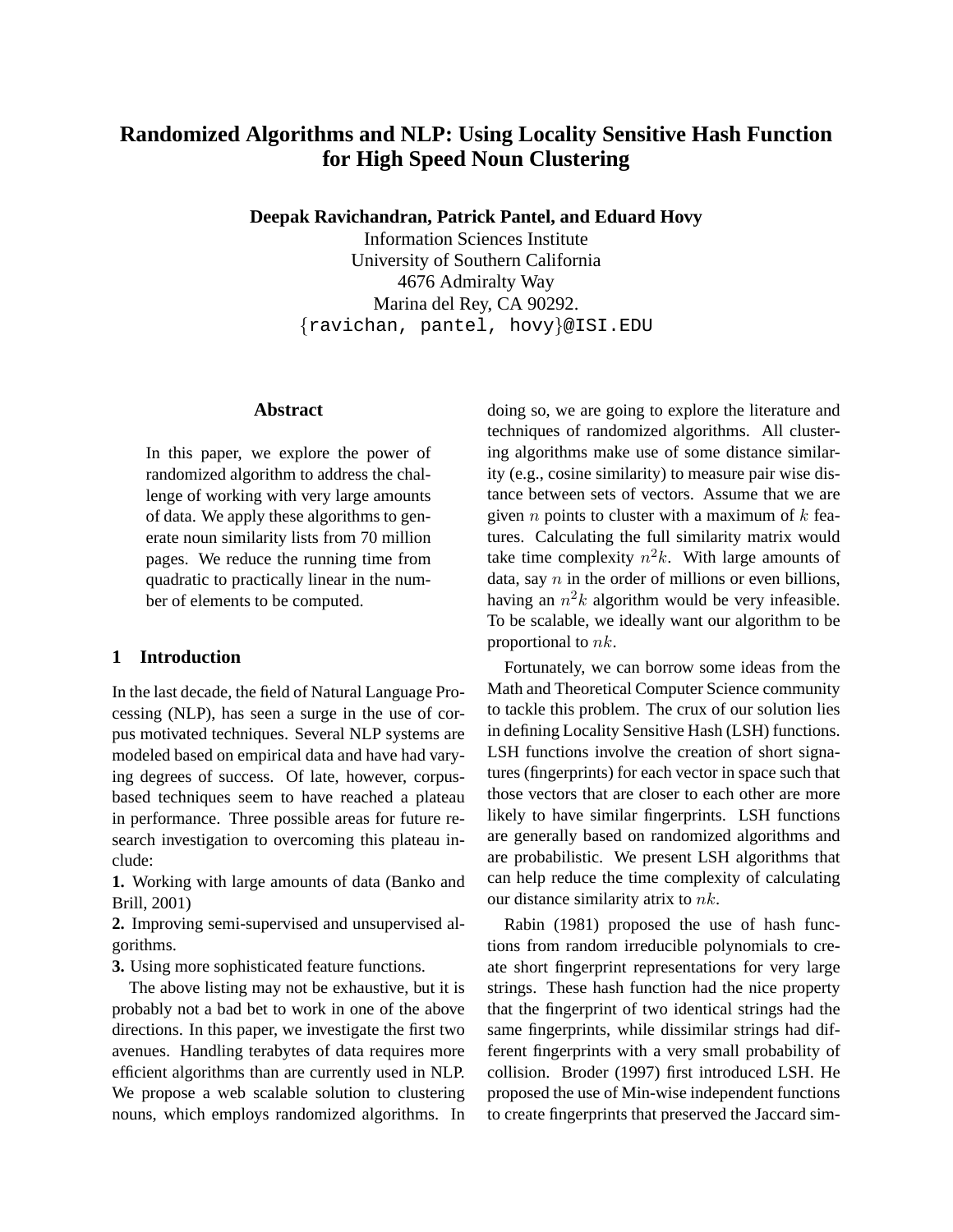# **Randomized Algorithms and NLP: Using Locality Sensitive Hash Function for High Speed Noun Clustering**

**Deepak Ravichandran, Patrick Pantel, and Eduard Hovy**

Information Sciences Institute University of Southern California 4676 Admiralty Way Marina del Rey, CA 90292. {ravichan, pantel, hovy}@ISI.EDU

# **Abstract**

In this paper, we explore the power of randomized algorithm to address the challenge of working with very large amounts of data. We apply these algorithms to generate noun similarity lists from 70 million pages. We reduce the running time from quadratic to practically linear in the number of elements to be computed.

# **1 Introduction**

In the last decade, the field of Natural Language Processing (NLP), has seen a surge in the use of corpus motivated techniques. Several NLP systems are modeled based on empirical data and have had varying degrees of success. Of late, however, corpusbased techniques seem to have reached a plateau in performance. Three possible areas for future research investigation to overcoming this plateau include:

**1.** Working with large amounts of data (Banko and Brill, 2001)

**2.** Improving semi-supervised and unsupervised algorithms.

**3.** Using more sophisticated feature functions.

The above listing may not be exhaustive, but it is probably not a bad bet to work in one of the above directions. In this paper, we investigate the first two avenues. Handling terabytes of data requires more efficient algorithms than are currently used in NLP. We propose a web scalable solution to clustering nouns, which employs randomized algorithms. In

doing so, we are going to explore the literature and techniques of randomized algorithms. All clustering algorithms make use of some distance similarity (e.g., cosine similarity) to measure pair wise distance between sets of vectors. Assume that we are given *n* points to cluster with a maximum of  $k$  features. Calculating the full similarity matrix would take time complexity  $n^2k$ . With large amounts of data, say  $n$  in the order of millions or even billions, having an  $n^2k$  algorithm would be very infeasible. To be scalable, we ideally want our algorithm to be proportional to nk.

Fortunately, we can borrow some ideas from the Math and Theoretical Computer Science community to tackle this problem. The crux of our solution lies in defining Locality Sensitive Hash (LSH) functions. LSH functions involve the creation of short signatures (fingerprints) for each vector in space such that those vectors that are closer to each other are more likely to have similar fingerprints. LSH functions are generally based on randomized algorithms and are probabilistic. We present LSH algorithms that can help reduce the time complexity of calculating our distance similarity atrix to nk.

Rabin (1981) proposed the use of hash functions from random irreducible polynomials to create short fingerprint representations for very large strings. These hash function had the nice property that the fingerprint of two identical strings had the same fingerprints, while dissimilar strings had different fingerprints with a very small probability of collision. Broder (1997) first introduced LSH. He proposed the use of Min-wise independent functions to create fingerprints that preserved the Jaccard sim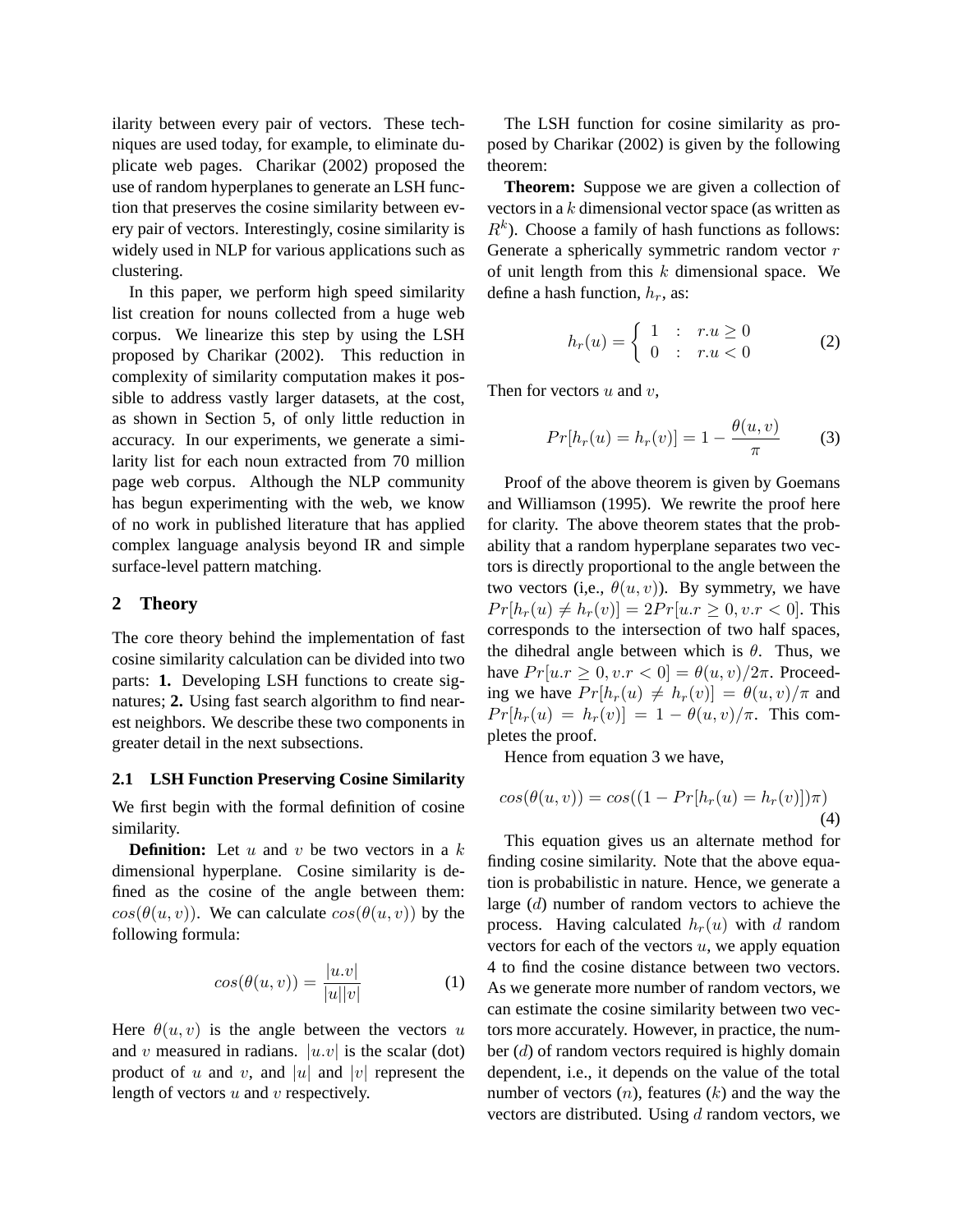ilarity between every pair of vectors. These techniques are used today, for example, to eliminate duplicate web pages. Charikar (2002) proposed the use of random hyperplanes to generate an LSH function that preserves the cosine similarity between every pair of vectors. Interestingly, cosine similarity is widely used in NLP for various applications such as clustering.

In this paper, we perform high speed similarity list creation for nouns collected from a huge web corpus. We linearize this step by using the LSH proposed by Charikar (2002). This reduction in complexity of similarity computation makes it possible to address vastly larger datasets, at the cost, as shown in Section 5, of only little reduction in accuracy. In our experiments, we generate a similarity list for each noun extracted from 70 million page web corpus. Although the NLP community has begun experimenting with the web, we know of no work in published literature that has applied complex language analysis beyond IR and simple surface-level pattern matching.

### **2 Theory**

The core theory behind the implementation of fast cosine similarity calculation can be divided into two parts: **1.** Developing LSH functions to create signatures; **2.** Using fast search algorithm to find nearest neighbors. We describe these two components in greater detail in the next subsections.

#### **2.1 LSH Function Preserving Cosine Similarity**

We first begin with the formal definition of cosine similarity.

**Definition:** Let  $u$  and  $v$  be two vectors in a  $k$ dimensional hyperplane. Cosine similarity is defined as the cosine of the angle between them:  $cos(\theta(u, v))$ . We can calculate  $cos(\theta(u, v))$  by the following formula:

$$
cos(\theta(u,v)) = \frac{|u.v|}{|u||v|} \tag{1}
$$

Here  $\theta(u, v)$  is the angle between the vectors u and v measured in radians.  $|u.v|$  is the scalar (dot) product of u and v, and |u| and |v| represent the length of vectors  $u$  and  $v$  respectively.

The LSH function for cosine similarity as proposed by Charikar (2002) is given by the following theorem:

**Theorem:** Suppose we are given a collection of vectors in a k dimensional vector space (as written as  $R<sup>k</sup>$ ). Choose a family of hash functions as follows: Generate a spherically symmetric random vector  $r$ of unit length from this  $k$  dimensional space. We define a hash function,  $h_r$ , as:

$$
h_r(u) = \begin{cases} 1 & : r.u \ge 0 \\ 0 & : r.u < 0 \end{cases}
$$
 (2)

Then for vectors  $u$  and  $v$ ,

$$
Pr[h_r(u) = h_r(v)] = 1 - \frac{\theta(u, v)}{\pi}
$$
 (3)

Proof of the above theorem is given by Goemans and Williamson (1995). We rewrite the proof here for clarity. The above theorem states that the probability that a random hyperplane separates two vectors is directly proportional to the angle between the two vectors (i,e.,  $\theta(u, v)$ ). By symmetry, we have  $Pr[h_r(u) \neq h_r(v)] = 2Pr[u.r \geq 0, v.r < 0].$  This corresponds to the intersection of two half spaces, the dihedral angle between which is  $\theta$ . Thus, we have  $Pr[u.r \geq 0, v.r < 0] = \theta(u, v)/2\pi$ . Proceeding we have  $Pr[h_r(u) \neq h_r(v)] = \theta(u, v)/\pi$  and  $Pr[h_r(u) = h_r(v)] = 1 - \theta(u, v)/\pi$ . This completes the proof.

Hence from equation 3 we have,

$$
cos(\theta(u,v)) = cos((1 - Pr[h_r(u) = h_r(v)])\pi)
$$
\n(4)

This equation gives us an alternate method for finding cosine similarity. Note that the above equation is probabilistic in nature. Hence, we generate a large (d) number of random vectors to achieve the process. Having calculated  $h_r(u)$  with d random vectors for each of the vectors  $u$ , we apply equation 4 to find the cosine distance between two vectors. As we generate more number of random vectors, we can estimate the cosine similarity between two vectors more accurately. However, in practice, the number (d) of random vectors required is highly domain dependent, i.e., it depends on the value of the total number of vectors  $(n)$ , features  $(k)$  and the way the vectors are distributed. Using  $d$  random vectors, we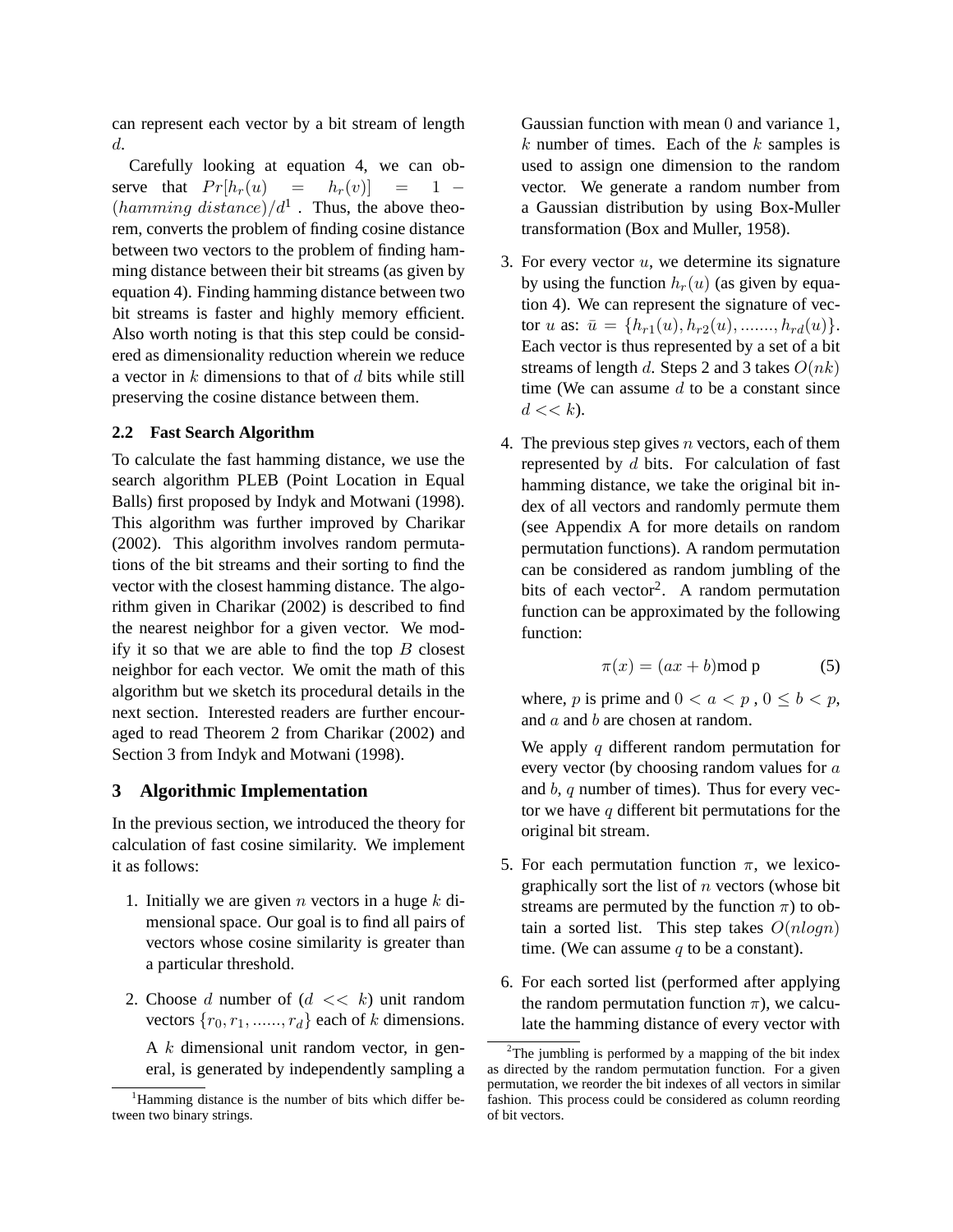can represent each vector by a bit stream of length d.

Carefully looking at equation 4, we can observe that  $Pr[h_r(u) = h_r(v)] = 1$  –  $(hamming distance)/d<sup>1</sup>$ . Thus, the above theorem, converts the problem of finding cosine distance between two vectors to the problem of finding hamming distance between their bit streams (as given by equation 4). Finding hamming distance between two bit streams is faster and highly memory efficient. Also worth noting is that this step could be considered as dimensionality reduction wherein we reduce a vector in  $k$  dimensions to that of  $d$  bits while still preserving the cosine distance between them.

### **2.2 Fast Search Algorithm**

To calculate the fast hamming distance, we use the search algorithm PLEB (Point Location in Equal Balls) first proposed by Indyk and Motwani (1998). This algorithm was further improved by Charikar (2002). This algorithm involves random permutations of the bit streams and their sorting to find the vector with the closest hamming distance. The algorithm given in Charikar (2002) is described to find the nearest neighbor for a given vector. We modify it so that we are able to find the top  $B$  closest neighbor for each vector. We omit the math of this algorithm but we sketch its procedural details in the next section. Interested readers are further encouraged to read Theorem 2 from Charikar (2002) and Section 3 from Indyk and Motwani (1998).

# **3 Algorithmic Implementation**

In the previous section, we introduced the theory for calculation of fast cosine similarity. We implement it as follows:

- 1. Initially we are given *n* vectors in a huge  $k$  dimensional space. Our goal is to find all pairs of vectors whose cosine similarity is greater than a particular threshold.
- 2. Choose d number of  $(d \ll k)$  unit random vectors  $\{r_0, r_1, \ldots, r_d\}$  each of k dimensions.

A k dimensional unit random vector, in general, is generated by independently sampling a Gaussian function with mean 0 and variance 1,  $k$  number of times. Each of the  $k$  samples is used to assign one dimension to the random vector. We generate a random number from a Gaussian distribution by using Box-Muller transformation (Box and Muller, 1958).

- 3. For every vector  $u$ , we determine its signature by using the function  $h_r(u)$  (as given by equation 4). We can represent the signature of vector u as:  $\bar{u} = \{h_{r1}(u), h_{r2}(u), \dots, h_{rd}(u)\}.$ Each vector is thus represented by a set of a bit streams of length d. Steps 2 and 3 takes  $O(nk)$ time (We can assume  $d$  to be a constant since  $d \ll k$ ).
- 4. The previous step gives  $n$  vectors, each of them represented by d bits. For calculation of fast hamming distance, we take the original bit index of all vectors and randomly permute them (see Appendix A for more details on random permutation functions). A random permutation can be considered as random jumbling of the bits of each vector<sup>2</sup>. A random permutation function can be approximated by the following function:

$$
\pi(x) = (ax + b) \bmod p \tag{5}
$$

where, p is prime and  $0 < a < p$ ,  $0 \le b < p$ , and a and b are chosen at random.

We apply  $q$  different random permutation for every vector (by choosing random values for a and b, q number of times). Thus for every vector we have  $q$  different bit permutations for the original bit stream.

- 5. For each permutation function  $\pi$ , we lexicographically sort the list of  $n$  vectors (whose bit streams are permuted by the function  $\pi$ ) to obtain a sorted list. This step takes  $O(n \log n)$ time. (We can assume  $q$  to be a constant).
- 6. For each sorted list (performed after applying the random permutation function  $\pi$ ), we calculate the hamming distance of every vector with

<sup>&</sup>lt;sup>1</sup>Hamming distance is the number of bits which differ between two binary strings.

 $2$ The jumbling is performed by a mapping of the bit index as directed by the random permutation function. For a given permutation, we reorder the bit indexes of all vectors in similar fashion. This process could be considered as column reording of bit vectors.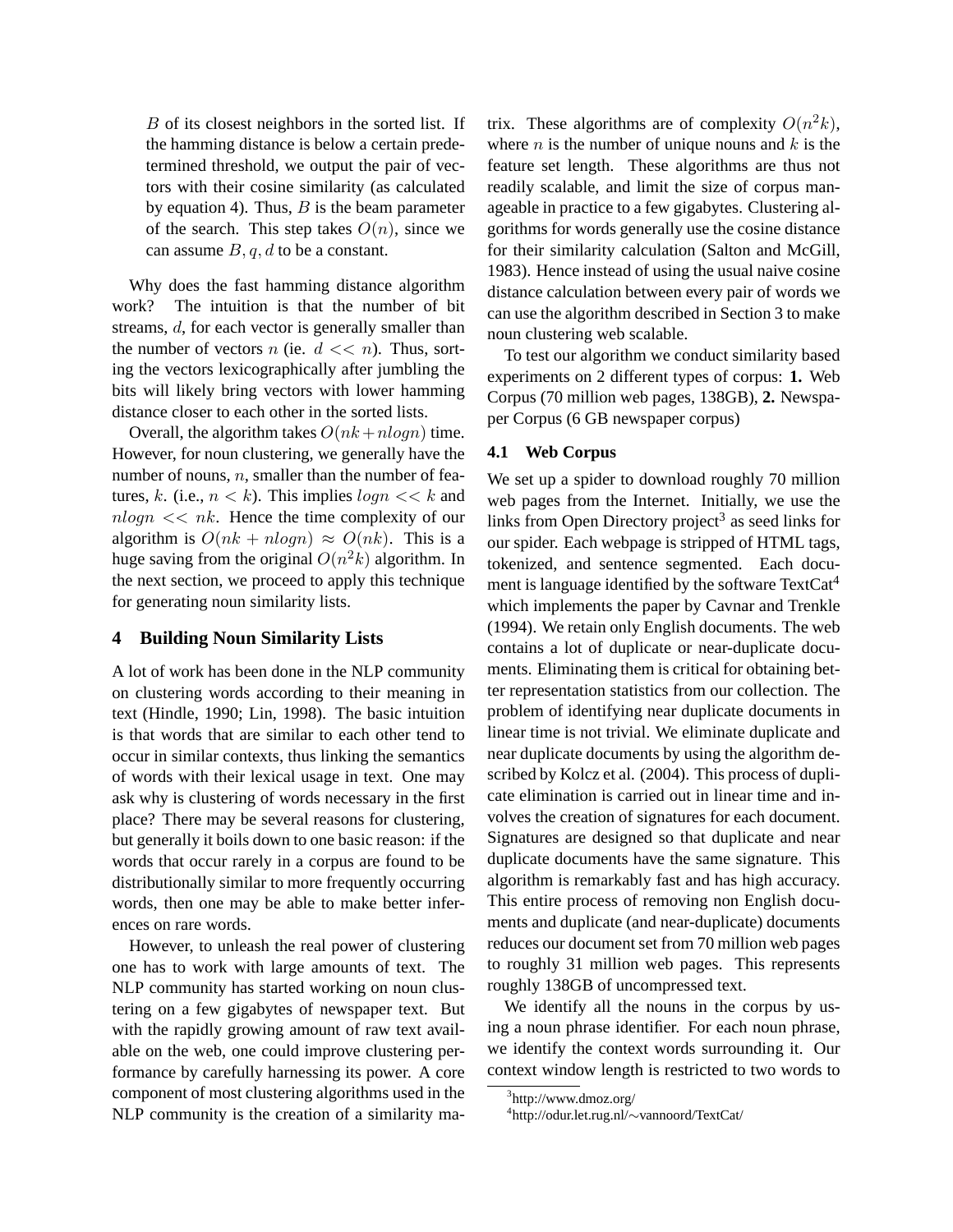B of its closest neighbors in the sorted list. If the hamming distance is below a certain predetermined threshold, we output the pair of vectors with their cosine similarity (as calculated by equation 4). Thus,  $B$  is the beam parameter of the search. This step takes  $O(n)$ , since we can assume  $B, q, d$  to be a constant.

Why does the fast hamming distance algorithm work? The intuition is that the number of bit streams, d, for each vector is generally smaller than the number of vectors n (ie.  $d \ll n$ ). Thus, sorting the vectors lexicographically after jumbling the bits will likely bring vectors with lower hamming distance closer to each other in the sorted lists.

Overall, the algorithm takes  $O(nk+nlogn)$  time. However, for noun clustering, we generally have the number of nouns,  $n$ , smaller than the number of features, k. (i.e.,  $n < k$ ). This implies  $log n < k$  and  $nlogn \, \ll \, nk$ . Hence the time complexity of our algorithm is  $O(nk + nlog n) \approx O(nk)$ . This is a huge saving from the original  $O(n^2k)$  algorithm. In the next section, we proceed to apply this technique for generating noun similarity lists.

# **4 Building Noun Similarity Lists**

A lot of work has been done in the NLP community on clustering words according to their meaning in text (Hindle, 1990; Lin, 1998). The basic intuition is that words that are similar to each other tend to occur in similar contexts, thus linking the semantics of words with their lexical usage in text. One may ask why is clustering of words necessary in the first place? There may be several reasons for clustering, but generally it boils down to one basic reason: if the words that occur rarely in a corpus are found to be distributionally similar to more frequently occurring words, then one may be able to make better inferences on rare words.

However, to unleash the real power of clustering one has to work with large amounts of text. The NLP community has started working on noun clustering on a few gigabytes of newspaper text. But with the rapidly growing amount of raw text available on the web, one could improve clustering performance by carefully harnessing its power. A core component of most clustering algorithms used in the NLP community is the creation of a similarity ma-

trix. These algorithms are of complexity  $O(n^2k)$ , where  $n$  is the number of unique nouns and  $k$  is the feature set length. These algorithms are thus not readily scalable, and limit the size of corpus manageable in practice to a few gigabytes. Clustering algorithms for words generally use the cosine distance for their similarity calculation (Salton and McGill, 1983). Hence instead of using the usual naive cosine distance calculation between every pair of words we can use the algorithm described in Section 3 to make noun clustering web scalable.

To test our algorithm we conduct similarity based experiments on 2 different types of corpus: **1.** Web Corpus (70 million web pages, 138GB), **2.** Newspaper Corpus (6 GB newspaper corpus)

#### **4.1 Web Corpus**

We set up a spider to download roughly 70 million web pages from the Internet. Initially, we use the links from Open Directory project<sup>3</sup> as seed links for our spider. Each webpage is stripped of HTML tags, tokenized, and sentence segmented. Each document is language identified by the software  $TextCat<sup>4</sup>$ which implements the paper by Cavnar and Trenkle (1994). We retain only English documents. The web contains a lot of duplicate or near-duplicate documents. Eliminating them is critical for obtaining better representation statistics from our collection. The problem of identifying near duplicate documents in linear time is not trivial. We eliminate duplicate and near duplicate documents by using the algorithm described by Kolcz et al. (2004). This process of duplicate elimination is carried out in linear time and involves the creation of signatures for each document. Signatures are designed so that duplicate and near duplicate documents have the same signature. This algorithm is remarkably fast and has high accuracy. This entire process of removing non English documents and duplicate (and near-duplicate) documents reduces our document set from 70 million web pages to roughly 31 million web pages. This represents roughly 138GB of uncompressed text.

We identify all the nouns in the corpus by using a noun phrase identifier. For each noun phrase, we identify the context words surrounding it. Our context window length is restricted to two words to

<sup>3</sup> http://www.dmoz.org/

<sup>4</sup> http://odur.let.rug.nl/∼vannoord/TextCat/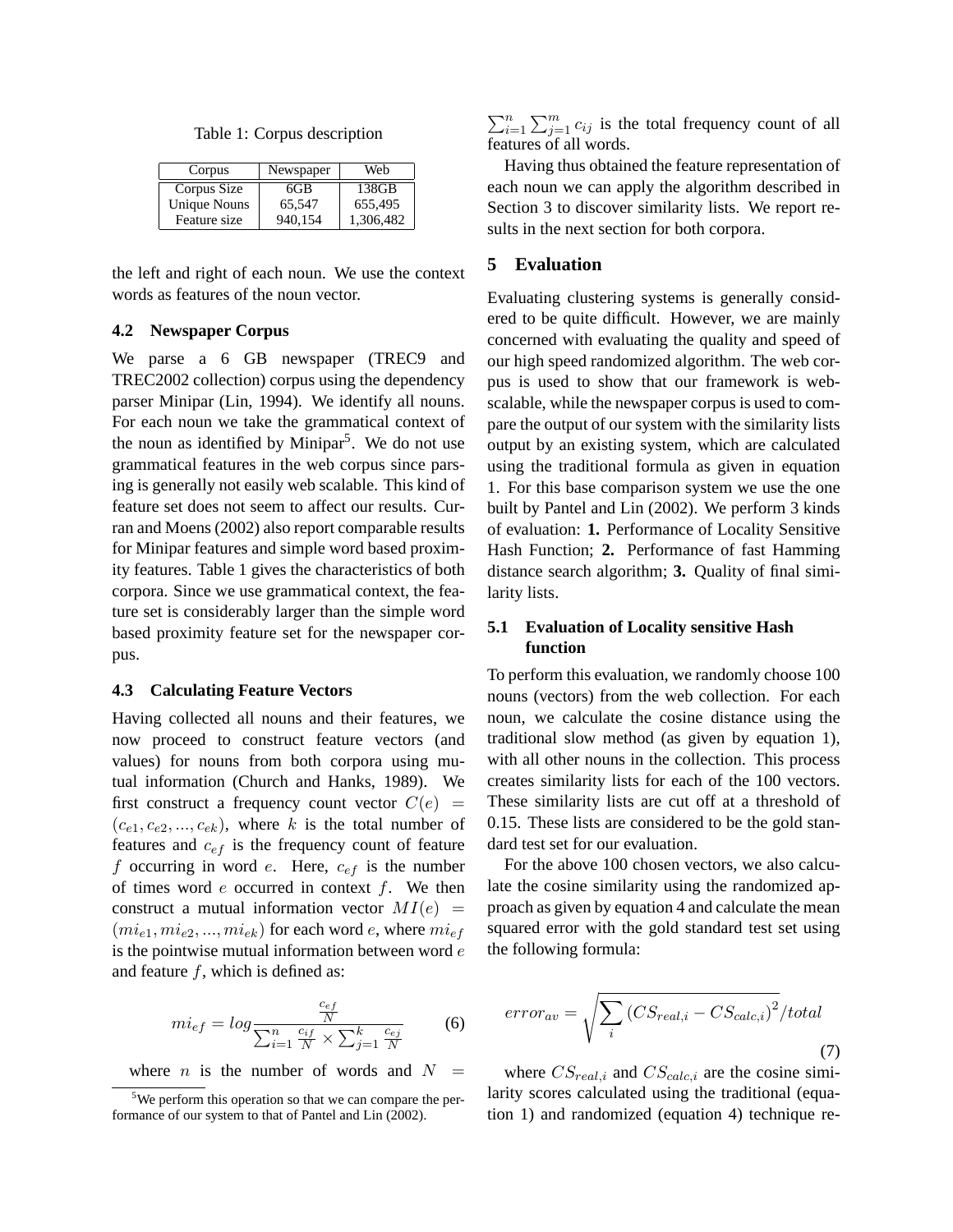Table 1: Corpus description

| Corpus              | Newspaper | Web       |
|---------------------|-----------|-----------|
| Corpus Size         | 6GB       | 138GB     |
| <b>Unique Nouns</b> | 65.547    | 655,495   |
| Feature size        | 940,154   | 1,306,482 |

the left and right of each noun. We use the context words as features of the noun vector.

#### **4.2 Newspaper Corpus**

We parse a 6 GB newspaper (TREC9 and TREC2002 collection) corpus using the dependency parser Minipar (Lin, 1994). We identify all nouns. For each noun we take the grammatical context of the noun as identified by Minipar<sup>5</sup>. We do not use grammatical features in the web corpus since parsing is generally not easily web scalable. This kind of feature set does not seem to affect our results. Curran and Moens (2002) also report comparable results for Minipar features and simple word based proximity features. Table 1 gives the characteristics of both corpora. Since we use grammatical context, the feature set is considerably larger than the simple word based proximity feature set for the newspaper corpus.

#### **4.3 Calculating Feature Vectors**

Having collected all nouns and their features, we now proceed to construct feature vectors (and values) for nouns from both corpora using mutual information (Church and Hanks, 1989). We first construct a frequency count vector  $C(e)$  =  $(c_{e1}, c_{e2}, ..., c_{ek})$ , where k is the total number of features and  $c_{ef}$  is the frequency count of feature f occurring in word e. Here,  $c_{ef}$  is the number of times word  $e$  occurred in context  $f$ . We then construct a mutual information vector  $MI(e)$  =  $(mi_{e1}, mi_{e2}, ..., mi_{ek})$  for each word e, where  $mi_{ef}$ is the pointwise mutual information between word  $e$ and feature  $f$ , which is defined as:

$$
m i_{ef} = log \frac{\frac{c_{ef}}{N}}{\sum_{i=1}^{n} \frac{c_{if}}{N} \times \sum_{j=1}^{k} \frac{c_{ej}}{N}}
$$
 (6)

where *n* is the number of words and  $N =$ 

 $\sum_{i=1}^{n} \sum_{j=1}^{m} c_{ij}$  is the total frequency count of all features of all words.

Having thus obtained the feature representation of each noun we can apply the algorithm described in Section 3 to discover similarity lists. We report results in the next section for both corpora.

# **5 Evaluation**

Evaluating clustering systems is generally considered to be quite difficult. However, we are mainly concerned with evaluating the quality and speed of our high speed randomized algorithm. The web corpus is used to show that our framework is webscalable, while the newspaper corpus is used to compare the output of our system with the similarity lists output by an existing system, which are calculated using the traditional formula as given in equation 1. For this base comparison system we use the one built by Pantel and Lin (2002). We perform 3 kinds of evaluation: **1.** Performance of Locality Sensitive Hash Function; **2.** Performance of fast Hamming distance search algorithm; **3.** Quality of final similarity lists.

### **5.1 Evaluation of Locality sensitive Hash function**

To perform this evaluation, we randomly choose 100 nouns (vectors) from the web collection. For each noun, we calculate the cosine distance using the traditional slow method (as given by equation 1), with all other nouns in the collection. This process creates similarity lists for each of the 100 vectors. These similarity lists are cut off at a threshold of 0.15. These lists are considered to be the gold standard test set for our evaluation.

For the above 100 chosen vectors, we also calculate the cosine similarity using the randomized approach as given by equation 4 and calculate the mean squared error with the gold standard test set using the following formula:

$$
error_{av} = \sqrt{\sum_{i} (CS_{real,i} - CS_{calc,i})^2 / total}
$$
\n(7)

where  $CS_{real,i}$  and  $CS_{calc,i}$  are the cosine similarity scores calculated using the traditional (equation 1) and randomized (equation 4) technique re-

<sup>&</sup>lt;sup>5</sup>We perform this operation so that we can compare the performance of our system to that of Pantel and Lin (2002).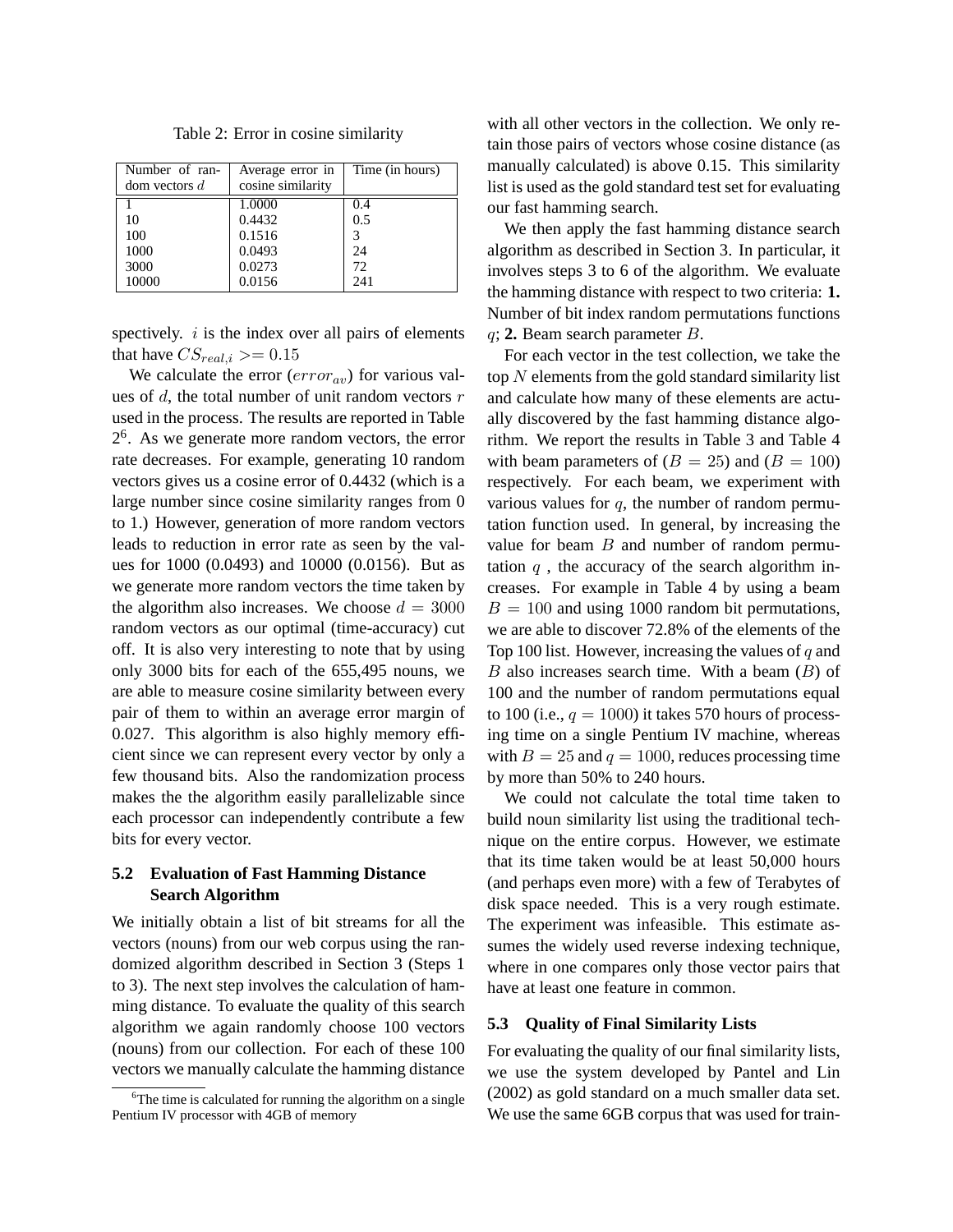Table 2: Error in cosine similarity

| Number of ran-<br>dom vectors $d$ | Average error in<br>cosine similarity | Time (in hours) |  |  |
|-----------------------------------|---------------------------------------|-----------------|--|--|
|                                   | 1.0000                                | 0.4             |  |  |
| 10                                | 0.4432                                | 0.5             |  |  |
| 100                               | 0.1516                                | 3               |  |  |
| 1000                              | 0.0493                                | 24              |  |  |
| 3000                              | 0.0273                                | 72              |  |  |
| 10000                             | 0.0156                                | 241             |  |  |

spectively.  $i$  is the index over all pairs of elements that have  $CS_{real,i} \geq 0.15$ 

We calculate the error  $\left( error_{av} \right)$  for various values of  $d$ , the total number of unit random vectors  $r$ used in the process. The results are reported in Table  $2<sup>6</sup>$ . As we generate more random vectors, the error rate decreases. For example, generating 10 random vectors gives us a cosine error of 0.4432 (which is a large number since cosine similarity ranges from 0 to 1.) However, generation of more random vectors leads to reduction in error rate as seen by the values for 1000 (0.0493) and 10000 (0.0156). But as we generate more random vectors the time taken by the algorithm also increases. We choose  $d = 3000$ random vectors as our optimal (time-accuracy) cut off. It is also very interesting to note that by using only 3000 bits for each of the 655,495 nouns, we are able to measure cosine similarity between every pair of them to within an average error margin of 0.027. This algorithm is also highly memory efficient since we can represent every vector by only a few thousand bits. Also the randomization process makes the the algorithm easily parallelizable since each processor can independently contribute a few bits for every vector.

# **5.2 Evaluation of Fast Hamming Distance Search Algorithm**

We initially obtain a list of bit streams for all the vectors (nouns) from our web corpus using the randomized algorithm described in Section 3 (Steps 1 to 3). The next step involves the calculation of hamming distance. To evaluate the quality of this search algorithm we again randomly choose 100 vectors (nouns) from our collection. For each of these 100 vectors we manually calculate the hamming distance with all other vectors in the collection. We only retain those pairs of vectors whose cosine distance (as manually calculated) is above 0.15. This similarity list is used as the gold standard test set for evaluating our fast hamming search.

We then apply the fast hamming distance search algorithm as described in Section 3. In particular, it involves steps 3 to 6 of the algorithm. We evaluate the hamming distance with respect to two criteria: **1.** Number of bit index random permutations functions q; **2.** Beam search parameter B.

For each vector in the test collection, we take the top  $N$  elements from the gold standard similarity list and calculate how many of these elements are actually discovered by the fast hamming distance algorithm. We report the results in Table 3 and Table 4 with beam parameters of  $(B = 25)$  and  $(B = 100)$ respectively. For each beam, we experiment with various values for  $q$ , the number of random permutation function used. In general, by increasing the value for beam  $B$  and number of random permutation  $q$ , the accuracy of the search algorithm increases. For example in Table 4 by using a beam  $B = 100$  and using 1000 random bit permutations, we are able to discover 72.8% of the elements of the Top 100 list. However, increasing the values of  $q$  and  $B$  also increases search time. With a beam  $(B)$  of 100 and the number of random permutations equal to 100 (i.e.,  $q = 1000$ ) it takes 570 hours of processing time on a single Pentium IV machine, whereas with  $B = 25$  and  $q = 1000$ , reduces processing time by more than 50% to 240 hours.

We could not calculate the total time taken to build noun similarity list using the traditional technique on the entire corpus. However, we estimate that its time taken would be at least 50,000 hours (and perhaps even more) with a few of Terabytes of disk space needed. This is a very rough estimate. The experiment was infeasible. This estimate assumes the widely used reverse indexing technique, where in one compares only those vector pairs that have at least one feature in common.

#### **5.3 Quality of Final Similarity Lists**

For evaluating the quality of our final similarity lists, we use the system developed by Pantel and Lin (2002) as gold standard on a much smaller data set. We use the same 6GB corpus that was used for train-

 $6$ The time is calculated for running the algorithm on a single Pentium IV processor with 4GB of memory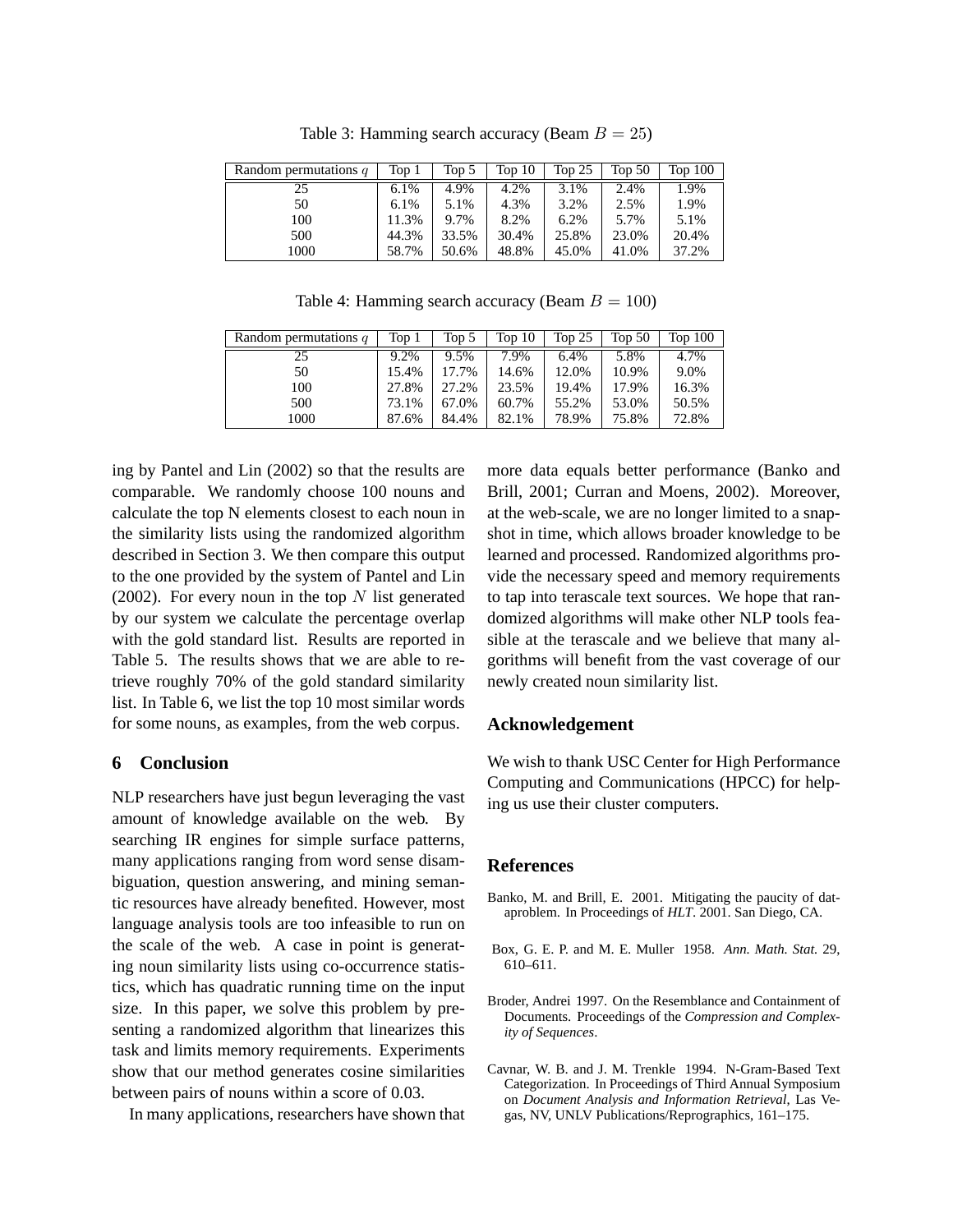| Random permutations q | Top 1   | Top 5 | Top $10$ | Top $25$ | Top 50 | Top $100$ |
|-----------------------|---------|-------|----------|----------|--------|-----------|
| 25                    | $6.1\%$ | 4.9%  | 4.2%     | 3.1%     | 2.4%   | 1.9%      |
| 50                    | 6.1%    | 5.1%  | 4.3%     | 3.2%     | 2.5%   | 1.9%      |
| 100                   | 11.3%   | 9.7%  | 8.2%     | 6.2%     | 5.7%   | 5.1%      |
| 500                   | 44.3%   | 33.5% | 30.4%    | 25.8%    | 23.0%  | 20.4%     |
| 1000                  | 58.7%   | 50.6% | 48.8%    | 45.0%    | 41.0%  | 37.2%     |

Table 3: Hamming search accuracy (Beam  $B = 25$ )

Table 4: Hamming search accuracy (Beam  $B = 100$ )

| Random permutations $q$ | Top 1 | Top 5 | Top $10$ | Top 25 | Top 50 | Top 100 |
|-------------------------|-------|-------|----------|--------|--------|---------|
| 25                      | 9.2%  | 9.5%  | 7.9%     | 6.4%   | 5.8%   | 4.7%    |
| 50                      | 15.4% | 17.7% | 14.6%    | 12.0%  | 10.9%  | 9.0%    |
| 100                     | 27.8% | 27.2% | 23.5%    | 19.4%  | 17.9%  | 16.3%   |
| 500                     | 73.1% | 67.0% | 60.7%    | 55.2%  | 53.0%  | 50.5%   |
| 1000                    | 87.6% | 84.4% | 82.1%    | 78.9%  | 75.8%  | 72.8%   |

ing by Pantel and Lin (2002) so that the results are comparable. We randomly choose 100 nouns and calculate the top N elements closest to each noun in the similarity lists using the randomized algorithm described in Section 3. We then compare this output to the one provided by the system of Pantel and Lin (2002). For every noun in the top  $N$  list generated by our system we calculate the percentage overlap with the gold standard list. Results are reported in Table 5. The results shows that we are able to retrieve roughly 70% of the gold standard similarity list. In Table 6, we list the top 10 most similar words for some nouns, as examples, from the web corpus.

# **6 Conclusion**

NLP researchers have just begun leveraging the vast amount of knowledge available on the web. By searching IR engines for simple surface patterns, many applications ranging from word sense disambiguation, question answering, and mining semantic resources have already benefited. However, most language analysis tools are too infeasible to run on the scale of the web. A case in point is generating noun similarity lists using co-occurrence statistics, which has quadratic running time on the input size. In this paper, we solve this problem by presenting a randomized algorithm that linearizes this task and limits memory requirements. Experiments show that our method generates cosine similarities between pairs of nouns within a score of 0.03.

In many applications, researchers have shown that

more data equals better performance (Banko and Brill, 2001; Curran and Moens, 2002). Moreover, at the web-scale, we are no longer limited to a snapshot in time, which allows broader knowledge to be learned and processed. Randomized algorithms provide the necessary speed and memory requirements to tap into terascale text sources. We hope that randomized algorithms will make other NLP tools feasible at the terascale and we believe that many algorithms will benefit from the vast coverage of our newly created noun similarity list.

# **Acknowledgement**

We wish to thank USC Center for High Performance Computing and Communications (HPCC) for helping us use their cluster computers.

# **References**

- Banko, M. and Brill, E. 2001. Mitigating the paucity of dataproblem. In Proceedings of *HLT*. 2001. San Diego, CA.
- Box, G. E. P. and M. E. Muller 1958. *Ann. Math. Stat.* 29, 610–611.
- Broder, Andrei 1997. On the Resemblance and Containment of Documents. Proceedings of the *Compression and Complexity of Sequences*.
- Cavnar, W. B. and J. M. Trenkle 1994. N-Gram-Based Text Categorization. In Proceedings of Third Annual Symposium on *Document Analysis and Information Retrieval*, Las Vegas, NV, UNLV Publications/Reprographics, 161–175.